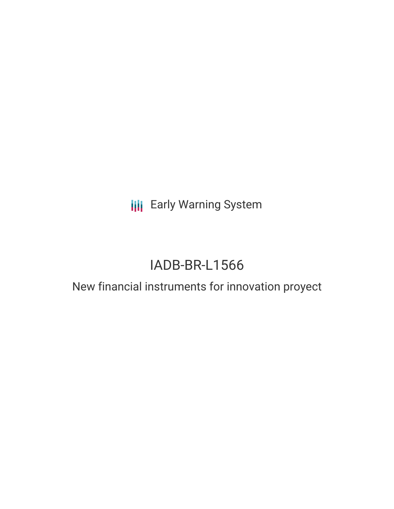**III** Early Warning System

# IADB-BR-L1566

## New financial instruments for innovation proyect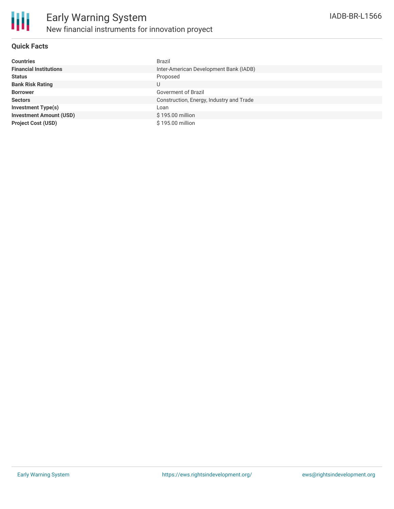

### **Quick Facts**

| <b>Countries</b>               | <b>Brazil</b>                            |
|--------------------------------|------------------------------------------|
| <b>Financial Institutions</b>  | Inter-American Development Bank (IADB)   |
| <b>Status</b>                  | Proposed                                 |
| <b>Bank Risk Rating</b>        | U                                        |
| <b>Borrower</b>                | Goverment of Brazil                      |
| <b>Sectors</b>                 | Construction, Energy, Industry and Trade |
| <b>Investment Type(s)</b>      | Loan                                     |
| <b>Investment Amount (USD)</b> | \$195.00 million                         |
| <b>Project Cost (USD)</b>      | \$195.00 million                         |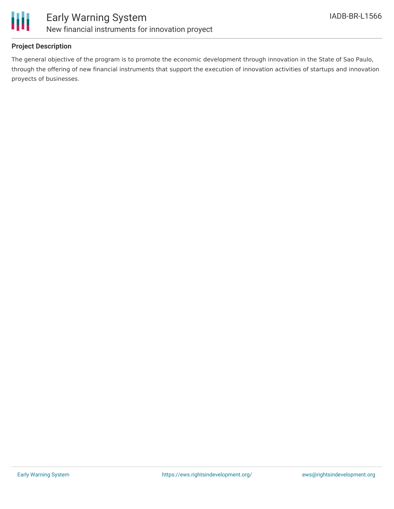

### **Project Description**

The general objective of the program is to promote the economic development through innovation in the State of Sao Paulo, through the offering of new financial instruments that support the execution of innovation activities of startups and innovation proyects of businesses.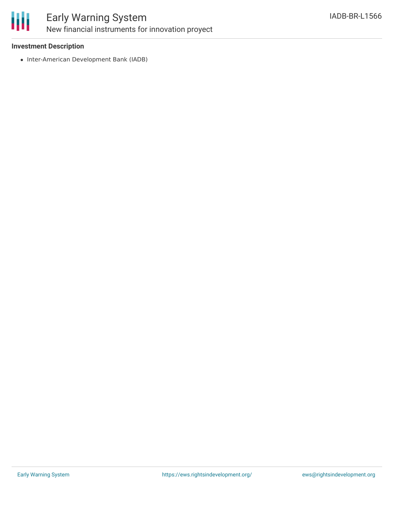

### Early Warning System New financial instruments for innovation proyect

### **Investment Description**

• Inter-American Development Bank (IADB)